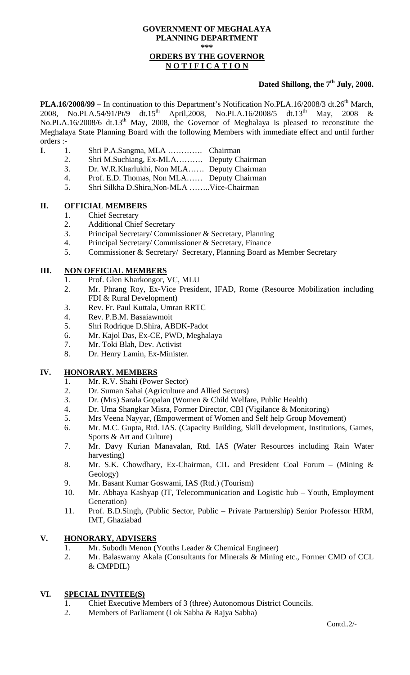#### **GOVERNMENT OF MEGHALAYA PLANNING DEPARTMENT \*\*\* ORDERS BY THE GOVERNOR N O T I F I C A T I O N**

# **Dated Shillong, the 7th July, 2008.**

**PLA.16/2008/99** – In continuation to this Department's Notification No.PLA.16/2008/3 dt.26<sup>th</sup> March, 2008, No.PLA.54/91/Pt/9 dt.15<sup>th</sup> April,2008, No.PLA.16/2008/5 dt.13<sup>th</sup> May, 2008 & 2008, No.PLA.54/91/Pt/9 dt.15<sup>th</sup> April,2008, No.PLA.16/2008/5 dt.13<sup>th</sup> May, 2008 & No.PLA.16/2008/6 dt.13<sup>th</sup> May, 2008, the Governor of Meghalaya is pleased to reconstitute the Meghalaya State Planning Board with the following Members with immediate effect and until further orders :-

- **I**. 1. Shri P.A.Sangma, MLA …………. Chairman
	- 2. Shri M.Suchiang, Ex-MLA………. Deputy Chairman
	- 3. Dr. W.R.Kharlukhi, Non MLA…… Deputy Chairman
	- 4. Prof. E.D. Thomas, Non MLA…… Deputy Chairman
	- 5. Shri Silkha D.Shira,Non-MLA ……..Vice-Chairman

# **II. OFFICIAL MEMBERS**

- 1. Chief Secretary
- 2. Additional Chief Secretary
- 3. Principal Secretary/ Commissioner & Secretary, Planning
- 4. Principal Secretary/ Commissioner & Secretary, Finance
- 5. Commissioner & Secretary/ Secretary, Planning Board as Member Secretary

## **III. NON OFFICIAL MEMBERS**

- 1. Prof. Glen Kharkongor, VC, MLU
- 2. Mr. Phrang Roy, Ex-Vice President, IFAD, Rome (Resource Mobilization including FDI & Rural Development)
- 3. Rev. Fr. Paul Kuttala, Umran RRTC
- 4. Rev. P.B.M. Basaiawmoit
- 5. Shri Rodrique D.Shira, ABDK-Padot
- 6. Mr. Kajol Das, Ex-CE, PWD, Meghalaya
- 7. Mr. Toki Blah, Dev. Activist
- 8. Dr. Henry Lamin, Ex-Minister.

## **IV. HONORARY. MEMBERS**

- 1. Mr. R.V. Shahi (Power Sector)
- 2. Dr. Suman Sahai (Agriculture and Allied Sectors)
- 3. Dr. (Mrs) Sarala Gopalan (Women & Child Welfare, Public Health)
- 4. Dr. Uma Shangkar Misra, Former Director, CBI (Vigilance & Monitoring)
- 5. Mrs Veena Nayyar, (Empowerment of Women and Self help Group Movement)
- 6. Mr. M.C. Gupta, Rtd. IAS. (Capacity Building, Skill development, Institutions, Games, Sports & Art and Culture)
- 7. Mr. Davy Kurian Manavalan, Rtd. IAS (Water Resources including Rain Water harvesting)
- 8. Mr. S.K. Chowdhary, Ex-Chairman, CIL and President Coal Forum (Mining & Geology)
- 9. Mr. Basant Kumar Goswami, IAS (Rtd.) (Tourism)
- 10. Mr. Abhaya Kashyap (IT, Telecommunication and Logistic hub Youth, Employment Generation)
- 11. Prof. B.D.Singh, (Public Sector, Public Private Partnership) Senior Professor HRM, IMT, Ghaziabad

## **V. HONORARY, ADVISERS**

- 1. Mr. Subodh Menon (Youths Leader & Chemical Engineer)
- 2. Mr. Balaswamy Akala (Consultants for Minerals & Mining etc., Former CMD of CCL & CMPDIL)

## **VI. SPECIAL INVITEE(S)**

- 1. Chief Executive Members of 3 (three) Autonomous District Councils.
- 2. Members of Parliament (Lok Sabha & Rajya Sabha)